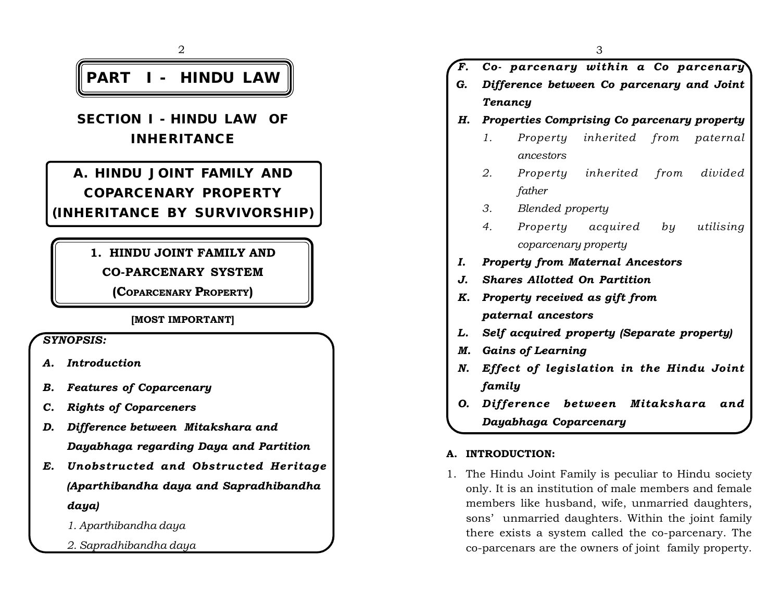

**SECTION I - HINDU LAW OF INHERITANCE**

**A. HINDU JOINT FAMILY AND COPARCENARY PROPERTY**

## **(INHERITANCE BY SURVIVORSHIP)**

## **1. HINDU JOINT FAMILY AND**

**CO-PARCENARY SYSTEM**

**(COPARCENARY PROPERTY)**

## **[MOST IMPORTANT]**

*SYNOPSIS:*

- *A. Introduction*
- *B. Features of Coparcenary*
- *C. Rights of Coparceners*
- *D. Difference between Mitakshara and Dayabhaga regarding Daya and Partition*
- *E. Unobstructed and Obstructed Heritage (Aparthibandha daya and Sapradhibandha daya)*
	- *1. Aparthibandha daya*
	- *2. Sapradhibandha daya*

*F. Co- parcenary within a Co parcenary G. Difference between Co parcenary and Joint Tenancy H. Properties Comprising Co parcenary property 1. Property inherited from paternal ancestors 2. Property inherited from divided father 3. Blended property 4. Property acquired by utilising coparcenary property I. Property from Maternal Ancestors J. Shares Allotted On Partition K. Property received as gift from paternal ancestors L. Self acquired property (Separate property) M. Gains of Learning N. Effect of legislation in the Hindu Joint family O. Difference between Mitakshara and Dayabhaga Coparcenary*

## **A. INTRODUCTION:**

1. The Hindu Joint Family is peculiar to Hindu society only. It is an institution of male members and female members like husband, wife, unmarried daughters, sons' unmarried daughters. Within the joint family there exists a system called the co-parcenary. The co-parcenars are the owners of joint family property.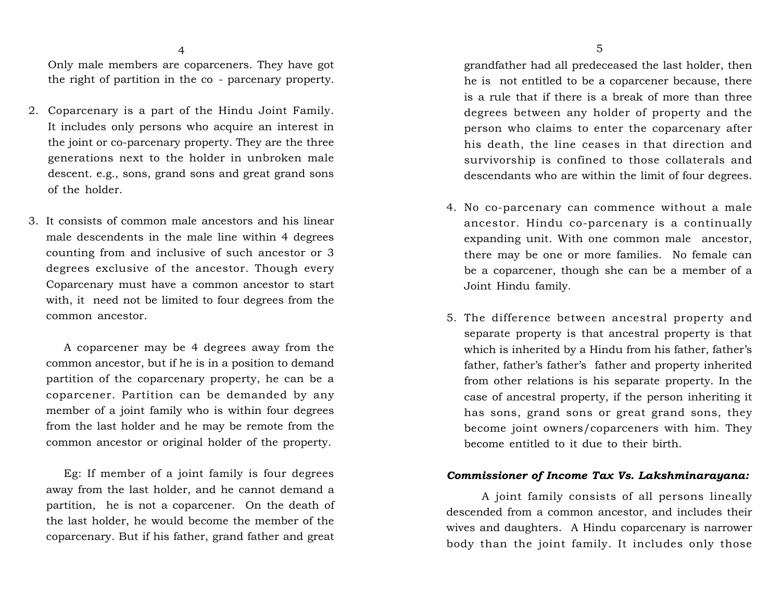Only male members are coparceners. They have got the right of partition in the co - parcenary property.

- 2. Coparcenary is a part of the Hindu Joint Family. It includes only persons who acquire an interest in the joint or co-parcenary property. They are the three generations next to the holder in unbroken male descent. e.g., sons, grand sons and great grand sons of the holder.
- 3. It consists of common male ancestors and his linear male descendents in the male line within 4 degrees counting from and inclusive of such ancestor or 3 degrees exclusive of the ancestor. Though every Coparcenary must have a common ancestor to start with, it need not be limited to four degrees from the common ancestor.

A coparcener may be 4 degrees away from the common ancestor, but if he is in a position to demand partition of the coparcenary property, he can be a coparcener. Partition can be demanded by any member of a joint family who is within four degrees from the last holder and he may be remote from the common ancestor or original holder of the property.

Eg: If member of a joint family is four degrees away from the last holder, and he cannot demand a partition, he is not a coparcener. On the death of the last holder, he would become the member of the coparcenary. But if his father, grand father and great

grandfather had all predeceased the last holder, then he is not entitled to be a coparcener because, there is a rule that if there is a break of more than three degrees between any holder of property and the person who claims to enter the coparcenary after his death, the line ceases in that direction and survivorship is confined to those collaterals and descendants who are within the limit of four degrees.

- 4. No co-parcenary can commence without a male ancestor. Hindu co-parcenary is a continually expanding unit. With one common male ancestor, there may be one or more families. No female can be a coparcener, though she can be a member of a Joint Hindu family.
- 5. The difference between ancestral property and separate property is that ancestral property is that which is inherited by a Hindu from his father, father's father, father's father's father and property inherited from other relations is his separate property. In the case of ancestral property, if the person inheriting it has sons, grand sons or great grand sons, they become joint owners/coparceners with him. They become entitled to it due to their birth.

#### *Commissioner of Income Tax Vs. Lakshminarayana:*

A joint family consists of all persons lineally descended from a common ancestor, and includes their wives and daughters. A Hindu coparcenary is narrower body than the joint family. It includes only those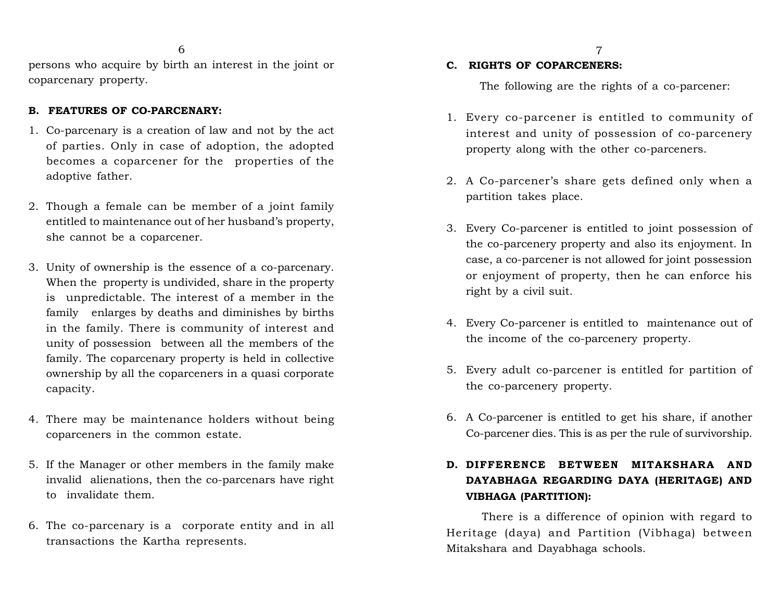persons who acquire by birth an interest in the joint or coparcenary property.

#### **B. FEATURES OF CO-PARCENARY:**

- 1. Co-parcenary is a creation of law and not by the act of parties. Only in case of adoption, the adopted becomes a coparcener for the properties of the adoptive father.
- 2. Though a female can be member of a joint family entitled to maintenance out of her husband's property, she cannot be a coparcener.
- 3. Unity of ownership is the essence of a co-parcenary. When the property is undivided, share in the property is unpredictable. The interest of a member in the family enlarges by deaths and diminishes by births in the family. There is community of interest and unity of possession between all the members of the family. The coparcenary property is held in collective ownership by all the coparceners in a quasi corporate capacity.
- 4. There may be maintenance holders without being coparceners in the common estate.
- 5. If the Manager or other members in the family make invalid alienations, then the co-parcenars have right to invalidate them.
- 6. The co-parcenary is a corporate entity and in all transactions the Kartha represents.

#### **C. RIGHTS OF COPARCENERS:**

The following are the rights of a co-parcener:

- 1. Every co-parcener is entitled to community of interest and unity of possession of co-parcenery property along with the other co-parceners.
- 2. A Co-parcener's share gets defined only when a partition takes place.
- 3. Every Co-parcener is entitled to joint possession of the co-parcenery property and also its enjoyment. In case, a co-parcener is not allowed for joint possession or enjoyment of property, then he can enforce his right by a civil suit.
- 4. Every Co-parcener is entitled to maintenance out of the income of the co-parcenery property.
- 5. Every adult co-parcener is entitled for partition of the co-parcenery property.
- 6. A Co-parcener is entitled to get his share, if another Co-parcener dies. This is as per the rule of survivorship.

## **EXECUTE:** 6. A Co-parcener is entitled to get his share, if another<br>
Co-parcener dies. This is as per the rule of survivorship.<br> **D.** DIFFERENCE BETWEEN MITAKSHARA AND<br>
DAYABHAGA REGARDING DAYA (HERITAGE) AND **DAYABHAGA REGARDING DAYA (HERITAGE) AND VIBHAGA (PARTITION):**

There is a difference of opinion with regard to Heritage (daya) and Partition (Vibhaga) between Mitakshara and Dayabhaga schools.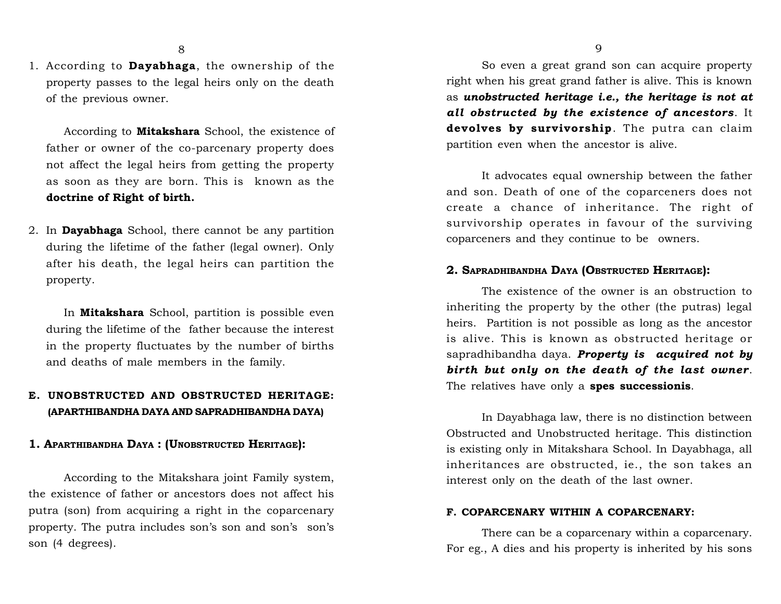1. According to **Dayabhaga**, the ownership of the property passes to the legal heirs only on the death of the previous owner.

According to **Mitakshara** School, the existence of father or owner of the co-parcenary property does not affect the legal heirs from getting the property as soon as they are born. This is known as the **doctrine of Right of birth.**

2. In **Dayabhaga** School, there cannot be any partition during the lifetime of the father (legal owner). Only after his death, the legal heirs can partition the property.

In **Mitakshara** School, partition is possible even during the lifetime of the father because the interest in the property fluctuates by the number of births and deaths of male members in the family.

### **E. UNOBSTRUCTED AND OBSTRUCTED HERITAGE: (APARTHIBANDHA DAYA AND SAPRADHIBANDHA DAYA)**

#### **1. APARTHIBANDHA DAYA : (UNOBSTRUCTED HERITAGE):**

According to the Mitakshara joint Family system, the existence of father or ancestors does not affect his putra (son) from acquiring a right in the coparcenary property. The putra includes son's son and son's son's son (4 degrees).

So even a great grand son can acquire property right when his great grand father is alive. This is known as *unobstructed heritage i.e., the heritage is not at all obstructed by the existence of ancestors*. It so even a great grand son can acquire property<br>right when his great grand father is alive. This is known<br>as **unobstructed heritage i.e., the heritage is not at**<br>**all obstructed by the existence of ancestors**. It<br>**devolves** partition even when the ancestor is alive.

It advocates equal ownership between the father and son. Death of one of the coparceners does not create a chance of inheritance. The right of survivorship operates in favour of the surviving coparceners and they continue to be owners.

#### **2. SAPRADHIBANDHA DAYA (OBSTRUCTED HERITAGE):**

The existence of the owner is an obstruction to inheriting the property by the other (the putras) legal heirs. Partition is not possible as long as the ancestor is alive. This is known as obstructed heritage or sapradhibandha daya. *Property is acquired not by birth but only on the death of the last owner*. The relatives have only a **spes successionis**.

In Dayabhaga law, there is no distinction between Obstructed and Unobstructed heritage. This distinction is existing only in Mitakshara School. In Dayabhaga, all inheritances are obstructed, ie., the son takes an interest only on the death of the last owner.

#### **F. COPARCENARY WITHIN A COPARCENARY:**

There can be a coparcenary within a coparcenary. For eg., A dies and his property is inherited by his sons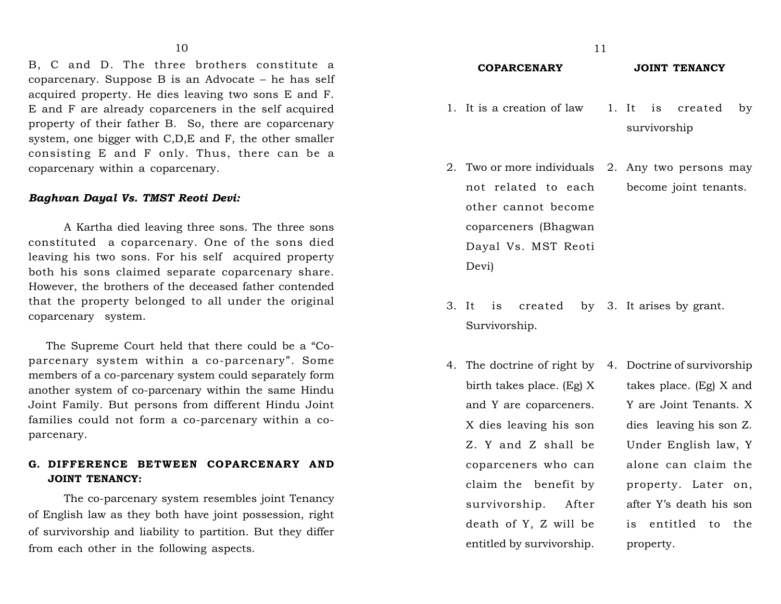B, C and D. The three brothers constitute a coparcenary. Suppose B is an Advocate – he has self acquired property. He dies leaving two sons E and F. E and F are already coparceners in the self acquired property of their father B. So, there are coparcenary system, one bigger with C,D,E and F, the other smaller consisting E and F only. Thus, there can be a coparcenary within a coparcenary.

#### *Baghvan Dayal Vs. TMST Reoti Devi:*

A Kartha died leaving three sons. The three sons constituted a coparcenary. One of the sons died leaving his two sons. For his self acquired property both his sons claimed separate coparcenary share. However, the brothers of the deceased father contended that the property belonged to all under the original coparcenary system.

The Supreme Court held that there could be a "Coparcenary system within a co-parcenary". Some members of a co-parcenary system could separately form another system of co-parcenary within the same Hindu Joint Family. But persons from different Hindu Joint families could not form a co-parcenary within a coparcenary.

#### **G. DIFFERENCE BETWEEN COPARCENARY AND JOINT TENANCY:**

The co-parcenary system resembles joint Tenancy of English law as they both have joint possession, right of survivorship and liability to partition. But they differ from each other in the following aspects.

#### **COPARCENARY JOINT TENANCY**

- 1. It is a creation of law 1. It is created by survivorship
- 2. Two or more individuals 2. Any two persons may not related to each other cannot become coparceners (Bhagwan Dayal Vs. MST Reoti Devi) become joint tenants.
- 3. It is created by 3. It arises by grant. Survivorship.
- 4. The doctrine of right by 4. Doctrine of survivorship birth takes place. (Eg) X and Y are coparceners. X dies leaving his son Z. Y and Z shall be coparceners who can claim the benefit by survivorship. After death of Y, Z will be entitled by survivorship.

takes place. (Eg) X and Y are Joint Tenants. X dies leaving his son Z. Under English law, Y alone can claim the property. Later on, after Y's death his son is entitled to the property.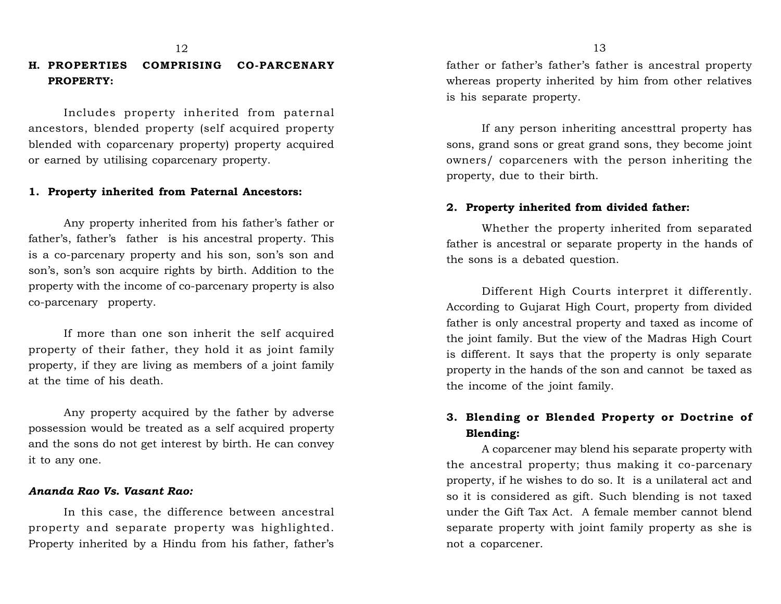# **H. PROPERTIES COMPRISING CO-PARCENARY PROPERTY:**

Includes property inherited from paternal ancestors, blended property (self acquired property blended with coparcenary property) property acquired or earned by utilising coparcenary property.

#### **1. Property inherited from Paternal Ancestors:**

Any property inherited from his father's father or father's, father's father is his ancestral property. This is a co-parcenary property and his son, son's son and son's, son's son acquire rights by birth. Addition to the property with the income of co-parcenary property is also co-parcenary property.

If more than one son inherit the self acquired property of their father, they hold it as joint family property, if they are living as members of a joint family at the time of his death.

Any property acquired by the father by adverse possession would be treated as a self acquired property and the sons do not get interest by birth. He can convey it to any one.

#### *Ananda Rao Vs. Vasant Rao:*

In this case, the difference between ancestral property and separate property was highlighted. Property inherited by a Hindu from his father, father's

father or father's father's father is ancestral property whereas property inherited by him from other relatives is his separate property.

If any person inheriting ancesttral property has sons, grand sons or great grand sons, they become joint owners/ coparceners with the person inheriting the property, due to their birth.

#### **2. Property inherited from divided father:**

Whether the property inherited from separated father is ancestral or separate property in the hands of the sons is a debated question.

Different High Courts interpret it differently. According to Gujarat High Court, property from divided father is only ancestral property and taxed as income of the joint family. But the view of the Madras High Court is different. It says that the property is only separate property in the hands of the son and cannot be taxed as the income of the joint family.

### **3. Blending or Blended Property or Doctrine of Blending:**

A coparcener may blend his separate property with the ancestral property; thus making it co-parcenary property, if he wishes to do so. It is a unilateral act and so it is considered as gift. Such blending is not taxed under the Gift Tax Act. A female member cannot blend separate property with joint family property as she is not a coparcener.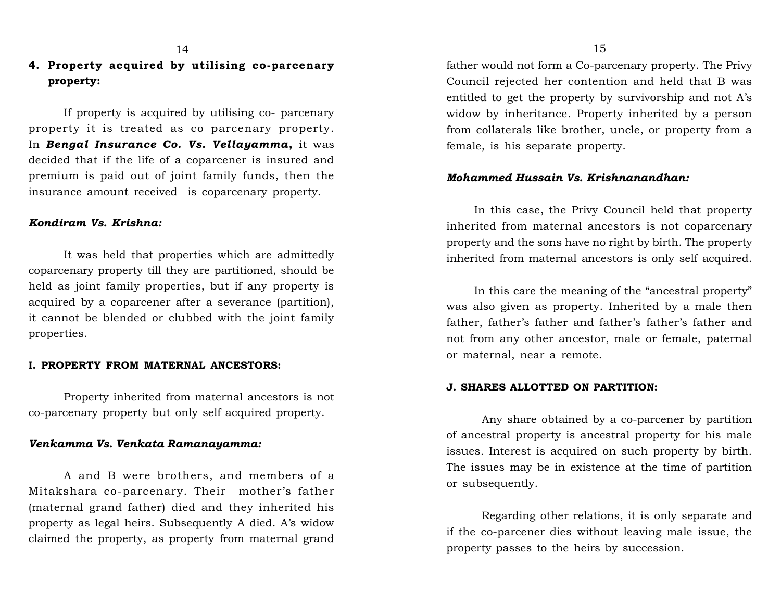## **4. Property acquired by utilising co-parcenary property:**

If property is acquired by utilising co- parcenary property it is treated as co parcenary property. In *Bengal Insurance Co. Vs. Vellayamma***,** it was decided that if the life of a coparcener is insured and premium is paid out of joint family funds, then the insurance amount received is coparcenary property.

#### *Kondiram Vs. Krishna:*

It was held that properties which are admittedly coparcenary property till they are partitioned, should be held as joint family properties, but if any property is acquired by a coparcener after a severance (partition), it cannot be blended or clubbed with the joint family properties.

#### **I. PROPERTY FROM MATERNAL ANCESTORS:**

Property inherited from maternal ancestors is not co-parcenary property but only self acquired property.

#### *Venkamma Vs. Venkata Ramanayamma:*

A and B were brothers, and members of a Mitakshara co-parcenary. Their mother's father (maternal grand father) died and they inherited his property as legal heirs. Subsequently A died. A's widow claimed the property, as property from maternal grand father would not form a Co-parcenary property. The Privy Council rejected her contention and held that B was entitled to get the property by survivorship and not A's widow by inheritance. Property inherited by a person from collaterals like brother, uncle, or property from a female, is his separate property.

#### *Mohammed Hussain Vs. Krishnanandhan:*

In this case, the Privy Council held that property inherited from maternal ancestors is not coparcenary property and the sons have no right by birth. The property inherited from maternal ancestors is only self acquired.

In this care the meaning of the "ancestral property" was also given as property. Inherited by a male then father, father's father and father's father's father and not from any other ancestor, male or female, paternal or maternal, near a remote.

#### **J. SHARES ALLOTTED ON PARTITION:**

Any share obtained by a co-parcener by partition of ancestral property is ancestral property for his male issues. Interest is acquired on such property by birth. The issues may be in existence at the time of partition or subsequently.

Regarding other relations, it is only separate and if the co-parcener dies without leaving male issue, the property passes to the heirs by succession.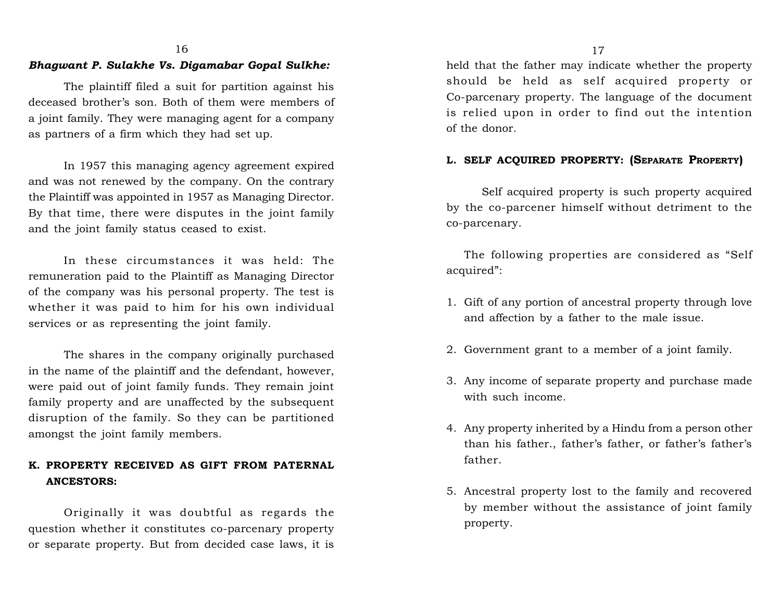### *Bhagwant P. Sulakhe Vs. Digamabar Gopal Sulkhe:*

The plaintiff filed a suit for partition against his deceased brother's son. Both of them were members of a joint family. They were managing agent for a company as partners of a firm which they had set up.

In 1957 this managing agency agreement expired and was not renewed by the company. On the contrary the Plaintiff was appointed in 1957 as Managing Director. By that time, there were disputes in the joint family and the joint family status ceased to exist.

In these circumstances it was held: The remuneration paid to the Plaintiff as Managing Director of the company was his personal property. The test is whether it was paid to him for his own individual services or as representing the joint family.

The shares in the company originally purchased in the name of the plaintiff and the defendant, however, were paid out of joint family funds. They remain joint family property and are unaffected by the subsequent disruption of the family. So they can be partitioned amongst the joint family members.

## **K. PROPERTY RECEIVED AS GIFT FROM PATERNAL ANCESTORS:**

Originally it was doubtful as regards the question whether it constitutes co-parcenary property or separate property. But from decided case laws, it is

held that the father may indicate whether the property should be held as self acquired property or Co-parcenary property. The language of the document is relied upon in order to find out the intention of the donor. 16 17

#### **L. SELF ACQUIRED PROPERTY: (SEPARATE PROPERTY)**

Self acquired property is such property acquired by the co-parcener himself without detriment to the co-parcenary.

The following properties are considered as "Self acquired":

- 1. Gift of any portion of ancestral property through love and affection by a father to the male issue.
- 2. Government grant to a member of a joint family.
- 3. Any income of separate property and purchase made with such income.
- 4. Any property inherited by a Hindu from a person other than his father., father's father, or father's father's father.
- 5. Ancestral property lost to the family and recovered by member without the assistance of joint family property.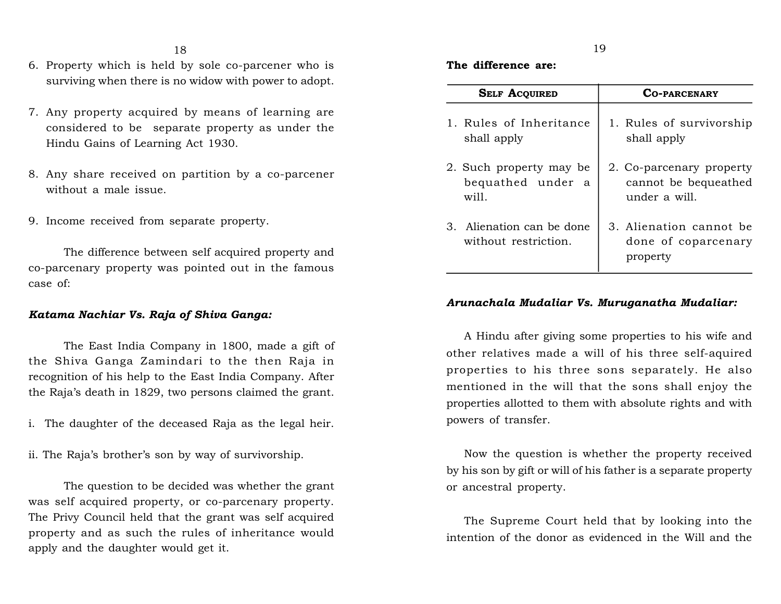- 6. Property which is held by sole co-parcener who is surviving when there is no widow with power to adopt.
- 7. Any property acquired by means of learning are considered to be separate property as under the Hindu Gains of Learning Act 1930.
- 8. Any share received on partition by a co-parcener without a male issue.
- 9. Income received from separate property.

The difference between self acquired property and co-parcenary property was pointed out in the famous case of:

#### *Katama Nachiar Vs. Raja of Shiva Ganga:*

The East India Company in 1800, made a gift of the Shiva Ganga Zamindari to the then Raja in recognition of his help to the East India Company. After the Raja's death in 1829, two persons claimed the grant.

- i. The daughter of the deceased Raja as the legal heir.
- ii. The Raja's brother's son by way of survivorship.

The question to be decided was whether the grant was self acquired property, or co-parcenary property. The Privy Council held that the grant was self acquired property and as such the rules of inheritance would apply and the daughter would get it.

### **The difference are:**

| <b>SELF ACQUIRED</b>                              | <b>CO-PARCENARY</b>                                        |
|---------------------------------------------------|------------------------------------------------------------|
| 1. Rules of Inheritance                           | 1. Rules of survivorship                                   |
| shall apply                                       | shall apply                                                |
| 2. Such property may be                           | 2. Co-parcenary property                                   |
| bequathed under a                                 | cannot be bequeathed                                       |
| will.                                             | under a will.                                              |
| 3. Alienation can be done<br>without restriction. | 3. Alienation cannot be<br>done of coparcenary<br>property |

#### *Arunachala Mudaliar Vs. Muruganatha Mudaliar:*

A Hindu after giving some properties to his wife and other relatives made a will of his three self-aquired properties to his three sons separately. He also mentioned in the will that the sons shall enjoy the properties allotted to them with absolute rights and with powers of transfer.

Now the question is whether the property received by his son by gift or will of his father is a separate property or ancestral property.

The Supreme Court held that by looking into the intention of the donor as evidenced in the Will and the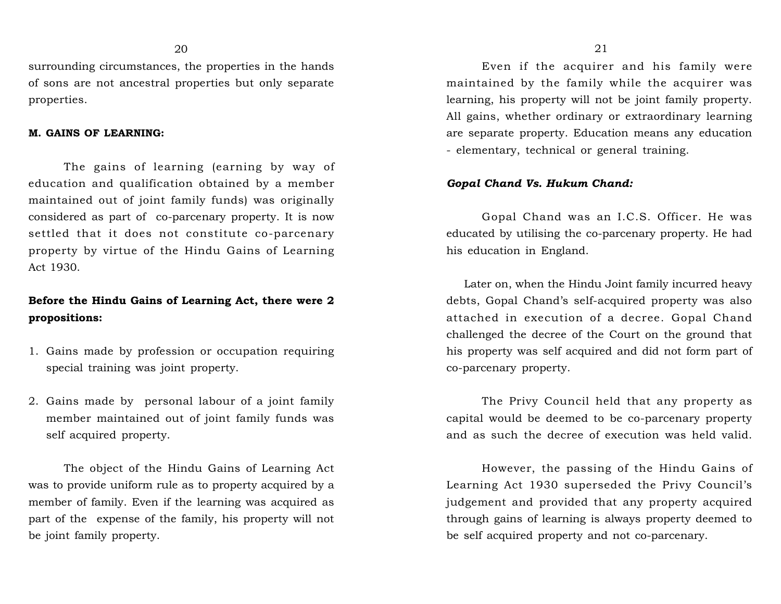surrounding circumstances, the properties in the hands of sons are not ancestral properties but only separate properties.

#### **M. GAINS OF LEARNING:**

The gains of learning (earning by way of education and qualification obtained by a member maintained out of joint family funds) was originally considered as part of co-parcenary property. It is now settled that it does not constitute co-parcenary property by virtue of the Hindu Gains of Learning Act 1930.

## **Before the Hindu Gains of Learning Act, there were 2 propositions:**

- 1. Gains made by profession or occupation requiring special training was joint property.
- 2. Gains made by personal labour of a joint family member maintained out of joint family funds was self acquired property.

The object of the Hindu Gains of Learning Act was to provide uniform rule as to property acquired by a member of family. Even if the learning was acquired as part of the expense of the family, his property will not be joint family property.

Even if the acquirer and his family were maintained by the family while the acquirer was learning, his property will not be joint family property. All gains, whether ordinary or extraordinary learning are separate property. Education means any education - elementary, technical or general training.

#### *Gopal Chand Vs. Hukum Chand:*

Gopal Chand was an I.C.S. Officer. He was educated by utilising the co-parcenary property. He had his education in England.

Later on, when the Hindu Joint family incurred heavy debts, Gopal Chand's self-acquired property was also attached in execution of a decree. Gopal Chand challenged the decree of the Court on the ground that his property was self acquired and did not form part of co-parcenary property.

The Privy Council held that any property as capital would be deemed to be co-parcenary property and as such the decree of execution was held valid.

However, the passing of the Hindu Gains of Learning Act 1930 superseded the Privy Council's judgement and provided that any property acquired through gains of learning is always property deemed to be self acquired property and not co-parcenary.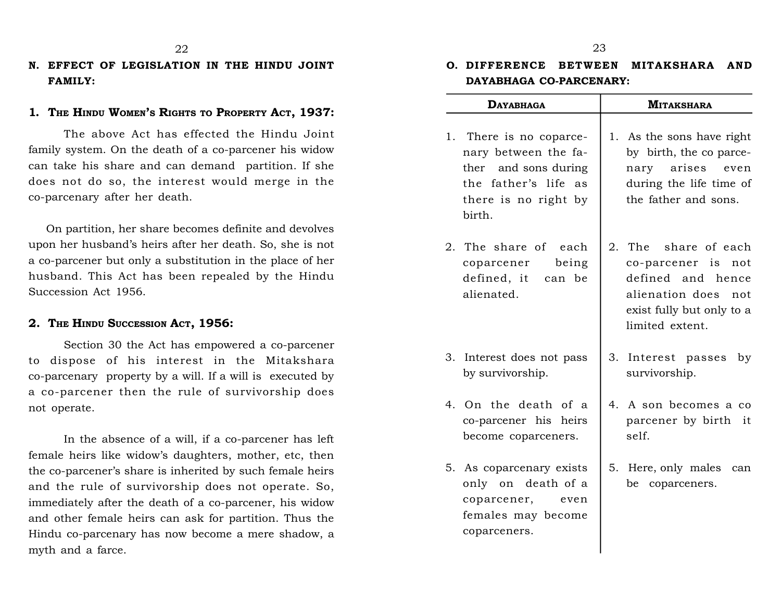### **N. EFFECT OF LEGISLATION IN THE HINDU JOINT FAMILY:**

#### **1. THE HINDU WOMEN'S RIGHTS TO PROPERTY ACT, 1937:**

The above Act has effected the Hindu Joint family system. On the death of a co-parcener his widow can take his share and can demand partition. If she does not do so, the interest would merge in the co-parcenary after her death.

On partition, her share becomes definite and devolves upon her husband's heirs after her death. So, she is not a co-parcener but only a substitution in the place of her husband. This Act has been repealed by the Hindu Succession Act 1956.

#### **2. THE HINDU SUCCESSION ACT, 1956:**

Section 30 the Act has empowered a co-parcener to dispose of his interest in the Mitakshara co-parcenary property by a will. If a will is executed by a co-parcener then the rule of survivorship does not operate.

In the absence of a will, if a co-parcener has left female heirs like widow's daughters, mother, etc, then the co-parcener's share is inherited by such female heirs and the rule of survivorship does not operate. So, immediately after the death of a co-parcener, his widow and other female heirs can ask for partition. Thus the Hindu co-parcenary has now become a mere shadow, a myth and a farce.

# <sup>23</sup><br> **O.** DIFFERENCE BETWEEN MITAKSHARA AND<br>
DAYABHAGA CO-PARCENARY: **DAYABHAGA CO-PARCENARY:**

| <b>DAYABHAGA</b>                                                                                                                  | <b>MITAKSHARA</b>                                                                                                                          |
|-----------------------------------------------------------------------------------------------------------------------------------|--------------------------------------------------------------------------------------------------------------------------------------------|
| 1. There is no coparce-<br>nary between the fa-<br>ther and sons during<br>the father's life as<br>there is no right by<br>birth. | 1. As the sons have right<br>by birth, the co parce-<br>arises<br>nary<br>even<br>during the life time of<br>the father and sons.          |
| 2. The share of<br>each<br>being<br>coparcener<br>defined, it can be<br>alienated.                                                | 2. The share of each<br>co-parcener is not<br>defined and hence<br>alienation does<br>not.<br>exist fully but only to a<br>limited extent. |
| 3. Interest does not pass<br>by survivorship.                                                                                     | 3. Interest passes<br>by<br>survivorship.                                                                                                  |
| 4. On the death of a<br>co-parcener his heirs<br>become coparceners.                                                              | 4. A son becomes a co<br>parcener by birth it<br>self.                                                                                     |
| 5. As coparcenary exists<br>only on death of a<br>coparcener,<br>even<br>females may become<br>coparceners.                       | 5. Here, only males<br>can<br>coparceners.<br>be                                                                                           |